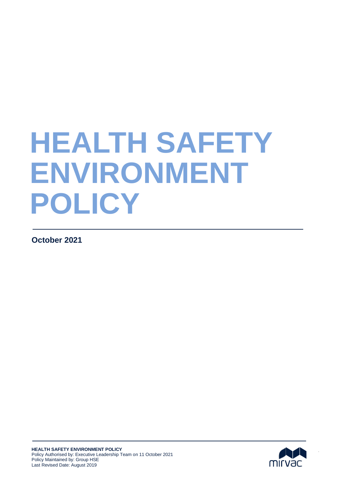# **HEALTH SAFETY ENVIRONMENT POLICY**

**October 2021** 

Subheading here



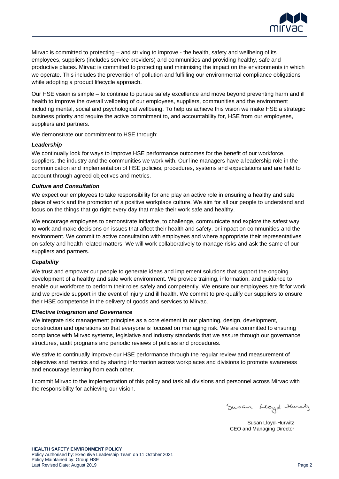

Mirvac is committed to protecting – and striving to improve - the health, safety and wellbeing of its employees, suppliers (includes service providers) and communities and providing healthy, safe and productive places. Mirvac is committed to protecting and minimising the impact on the environments in which we operate. This includes the prevention of pollution and fulfilling our environmental compliance obligations while adopting a product lifecycle approach.

Our HSE vision is simple – to continue to pursue safety excellence and move beyond preventing harm and ill health to improve the overall wellbeing of our employees, suppliers, communities and the environment including mental, social and psychological wellbeing. To help us achieve this vision we make HSE a strategic business priority and require the active commitment to, and accountability for, HSE from our employees, suppliers and partners.

We demonstrate our commitment to HSE through:

# *Leadership*

We continually look for ways to improve HSE performance outcomes for the benefit of our workforce, suppliers, the industry and the communities we work with. Our line managers have a leadership role in the communication and implementation of HSE policies, procedures, systems and expectations and are held to account through agreed objectives and metrics.

### *Culture and Consultation*

We expect our employees to take responsibility for and play an active role in ensuring a healthy and safe place of work and the promotion of a positive workplace culture. We aim for all our people to understand and focus on the things that go right every day that make their work safe and healthy.

We encourage employees to demonstrate initiative, to challenge, communicate and explore the safest way to work and make decisions on issues that affect their health and safety, or impact on communities and the environment. We commit to active consultation with employees and where appropriate their representatives on safety and health related matters. We will work collaboratively to manage risks and ask the same of our suppliers and partners.

# *Capability*

We trust and empower our people to generate ideas and implement solutions that support the ongoing development of a healthy and safe work environment. We provide training, information, and guidance to enable our workforce to perform their roles safely and competently. We ensure our employees are fit for work and we provide support in the event of injury and ill health. We commit to pre-qualify our suppliers to ensure their HSE competence in the delivery of goods and services to Mirvac.

### *Effective Integration and Governance*

We integrate risk management principles as a core element in our planning, design, development, construction and operations so that everyone is focused on managing risk. We are committed to ensuring compliance with Mirvac systems, legislative and industry standards that we assure through our governance structures, audit programs and periodic reviews of policies and procedures.

We strive to continually improve our HSE performance through the regular review and measurement of objectives and metrics and by sharing information across workplaces and divisions to promote awareness and encourage learning from each other.

I commit Mirvac to the implementation of this policy and task all divisions and personnel across Mirvac with the responsibility for achieving our vision.

Susan Lloyd Hursty

Susan Lloyd-Hurwitz CEO and Managing Director